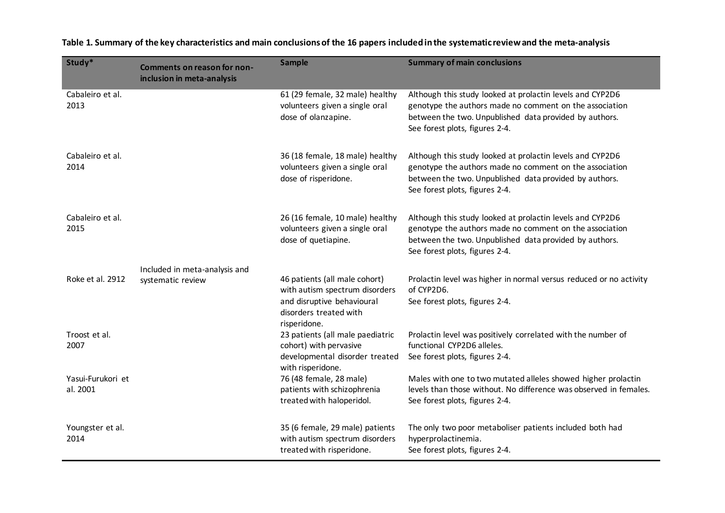| Study*                        | <b>Comments on reason for non-</b><br>inclusion in meta-analysis | <b>Sample</b>                                                                                                                           | <b>Summary of main conclusions</b>                                                                                                                                                                               |
|-------------------------------|------------------------------------------------------------------|-----------------------------------------------------------------------------------------------------------------------------------------|------------------------------------------------------------------------------------------------------------------------------------------------------------------------------------------------------------------|
| Cabaleiro et al.<br>2013      |                                                                  | 61 (29 female, 32 male) healthy<br>volunteers given a single oral<br>dose of olanzapine.                                                | Although this study looked at prolactin levels and CYP2D6<br>genotype the authors made no comment on the association<br>between the two. Unpublished data provided by authors.<br>See forest plots, figures 2-4. |
| Cabaleiro et al.<br>2014      |                                                                  | 36 (18 female, 18 male) healthy<br>volunteers given a single oral<br>dose of risperidone.                                               | Although this study looked at prolactin levels and CYP2D6<br>genotype the authors made no comment on the association<br>between the two. Unpublished data provided by authors.<br>See forest plots, figures 2-4. |
| Cabaleiro et al.<br>2015      |                                                                  | 26 (16 female, 10 male) healthy<br>volunteers given a single oral<br>dose of quetiapine.                                                | Although this study looked at prolactin levels and CYP2D6<br>genotype the authors made no comment on the association<br>between the two. Unpublished data provided by authors.<br>See forest plots, figures 2-4. |
| Roke et al. 2912              | Included in meta-analysis and<br>systematic review               | 46 patients (all male cohort)<br>with autism spectrum disorders<br>and disruptive behavioural<br>disorders treated with<br>risperidone. | Prolactin level was higher in normal versus reduced or no activity<br>of CYP2D6.<br>See forest plots, figures 2-4.                                                                                               |
| Troost et al.<br>2007         |                                                                  | 23 patients (all male paediatric<br>cohort) with pervasive<br>developmental disorder treated<br>with risperidone.                       | Prolactin level was positively correlated with the number of<br>functional CYP2D6 alleles.<br>See forest plots, figures 2-4.                                                                                     |
| Yasui-Furukori et<br>al. 2001 |                                                                  | 76 (48 female, 28 male)<br>patients with schizophrenia<br>treated with haloperidol.                                                     | Males with one to two mutated alleles showed higher prolactin<br>levels than those without. No difference was observed in females.<br>See forest plots, figures 2-4.                                             |
| Youngster et al.<br>2014      |                                                                  | 35 (6 female, 29 male) patients<br>with autism spectrum disorders<br>treated with risperidone.                                          | The only two poor metaboliser patients included both had<br>hyperprolactinemia.<br>See forest plots, figures 2-4.                                                                                                |

**Table 1. Summary of the key characteristics and main conclusions of the 16 papers included in the systematic review and the meta-analysis**